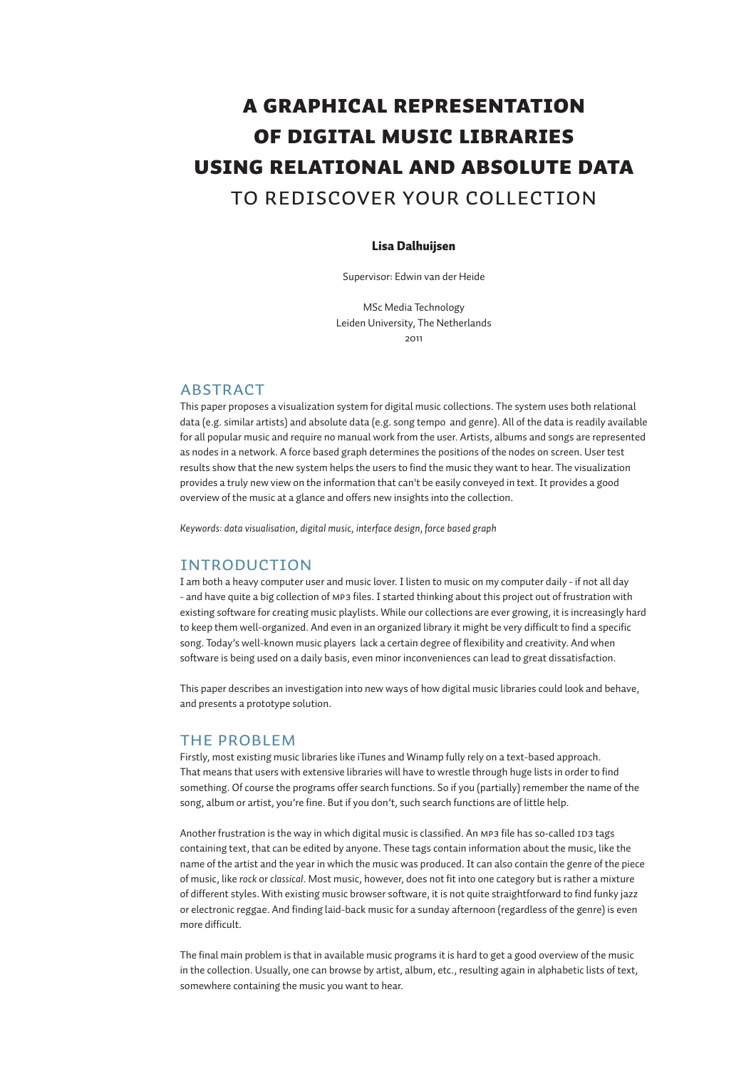# A graphical representation of digital music libraries using relational and absolute data to rediscover your collection

# Lisa Dalhuijsen

Supervisor: Edwin van der Heide

MSc Media Technology Leiden University, The Netherlands 2011

# ABSTRACT

This paper proposes a visualization system for digital music collections. The system uses both relational data (e.g. similar artists) and absolute data (e.g. song tempo and genre). All of the data is readily available for all popular music and require no manual work from the user. Artists, albums and songs are represented as nodes in a network. A force based graph determines the positions of the nodes on screen. User test results show that the new system helps the users to find the music they want to hear. The visualization provides a truly new view on the information that can't be easily conveyed in text. It provides a good overview of the music at a glance and offers new insights into the collection.

*Keywords: data visualisation, digital music, interface design, force based graph*

# INTRODUCTION

I am both a heavy computer user and music lover. I listen to music on my computer daily - if not all day - and have quite a big collection of mp3 files. I started thinking about this project out of frustration with existing software for creating music playlists. While our collections are ever growing, it is increasingly hard to keep them well-organized. And even in an organized library it might be very difficult to find a specific song. Today's well-known music players lack a certain degree of flexibility and creativity. And when software is being used on a daily basis, even minor inconveniences can lead to great dissatisfaction.

This paper describes an investigation into new ways of how digital music libraries could look and behave, and presents a prototype solution.

## THE PROBLEM

Firstly, most existing music libraries like iTunes and Winamp fully rely on a text-based approach. That means that users with extensive libraries will have to wrestle through huge lists in order to find something. Of course the programs offer search functions. So if you (partially) remember the name of the song, album or artist, you're fine. But if you don't, such search functions are of little help.

Another frustration is the way in which digital music is classified. An MP3 file has so-called ID3 tags containing text, that can be edited by anyone. These tags contain information about the music, like the name of the artist and the year in which the music was produced. It can also contain the genre of the piece of music, like *rock* or *classical*. Most music, however, does not fit into one category but is rather a mixture of different styles. With existing music browser software, it is not quite straightforward to find funky jazz or electronic reggae. And finding laid-back music for a sunday afternoon (regardless of the genre) is even more difficult.

The final main problem is that in available music programs it is hard to get a good overview of the music in the collection. Usually, one can browse by artist, album, etc., resulting again in alphabetic lists of text, somewhere containing the music you want to hear.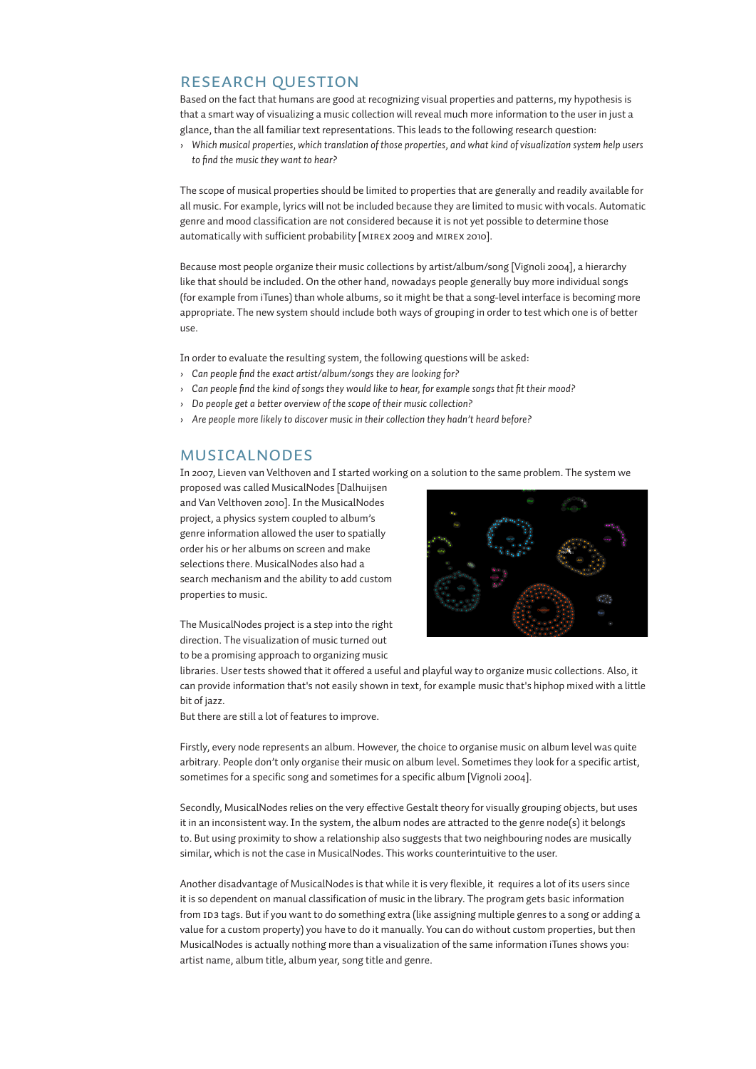# RESEARCH QUESTION

Based on the fact that humans are good at recognizing visual properties and patterns, my hypothesis is that a smart way of visualizing a music collection will reveal much more information to the user in just a glance, than the all familiar text representations. This leads to the following research question:

› *Which musical properties, which translation of those properties, and what kind of visualization system help users to find the music they want to hear?*

The scope of musical properties should be limited to properties that are generally and readily available for all music. For example, lyrics will not be included because they are limited to music with vocals. Automatic genre and mood classification are not considered because it is not yet possible to determine those automatically with sufficient probability [mirex 2009 and mirex 2010].

Because most people organize their music collections by artist/album/song [Vignoli 2004], a hierarchy like that should be included. On the other hand, nowadays people generally buy more individual songs (for example from iTunes) than whole albums, so it might be that a song-level interface is becoming more appropriate. The new system should include both ways of grouping in order to test which one is of better use.

In order to evaluate the resulting system, the following questions will be asked:

- › *Can people find the exact artist/album/songs they are looking for?*
- › *Can people find the kind of songs they would like to hear, for example songs that fit their mood?*
- › *Do people get a better overview of the scope of their music collection?*
- › *Are people more likely to discover music in their collection they hadn't heard before?*

# MUSICALNODES

In 2007, Lieven van Velthoven and I started working on a solution to the same problem. The system we

proposed was called MusicalNodes [Dalhuijsen and Van Velthoven 2010]. In the MusicalNodes project, a physics system coupled to album's genre information allowed the user to spatially order his or her albums on screen and make selections there. MusicalNodes also had a search mechanism and the ability to add custom properties to music.



The MusicalNodes project is a step into the right direction. The visualization of music turned out to be a promising approach to organizing music

libraries. User tests showed that it offered a useful and playful way to organize music collections. Also, it can provide information that's not easily shown in text, for example music that's hiphop mixed with a little bit of jazz.

But there are still a lot of features to improve.

Firstly, every node represents an album. However, the choice to organise music on album level was quite arbitrary. People don't only organise their music on album level. Sometimes they look for a specific artist, sometimes for a specific song and sometimes for a specific album [Vignoli 2004].

Secondly, MusicalNodes relies on the very effective Gestalt theory for visually grouping objects, but uses it in an inconsistent way. In the system, the album nodes are attracted to the genre node(s) it belongs to. But using proximity to show a relationship also suggests that two neighbouring nodes are musically similar, which is not the case in MusicalNodes. This works counterintuitive to the user.

Another disadvantage of MusicalNodes is that while it is very flexible, it requires a lot of its users since it is so dependent on manual classification of music in the library. The program gets basic information from ID3 tags. But if you want to do something extra (like assigning multiple genres to a song or adding a value for a custom property) you have to do it manually. You can do without custom properties, but then MusicalNodes is actually nothing more than a visualization of the same information iTunes shows you: artist name, album title, album year, song title and genre.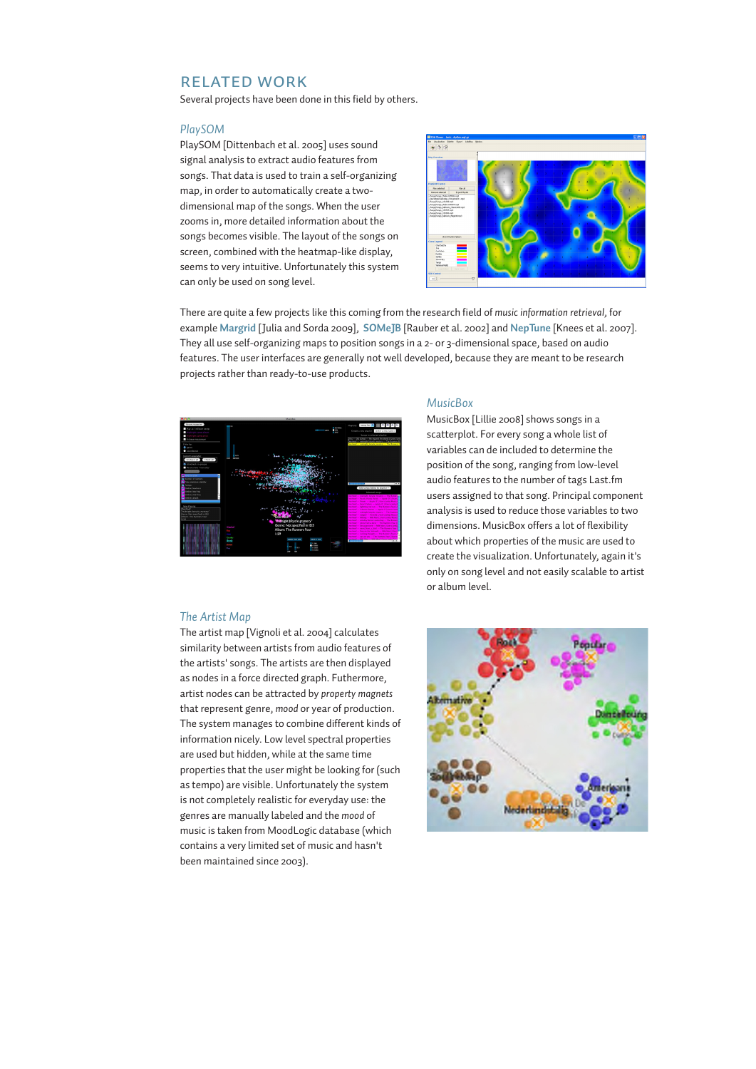# RELATED WORK

Several projects have been done in this field by others.

### *PlaySOM*

PlaySOM [Dittenbach et al. 2005] uses sound signal analysis to extract audio features from songs. That data is used to train a self-organizing map, in order to automatically create a twodimensional map of the songs. When the user zooms in, more detailed information about the songs becomes visible. The layout of the songs on screen, combined with the heatmap-like display, seems to very intuitive. Unfortunately this system can only be used on song level.



There are quite a few projects like this coming from the research field of *music information retrieval*, for example **Margrid** [Julia and Sorda 2009], **SOMeJB** [Rauber et al. 2002] and **NepTune** [Knees et al. 2007]. They all use self-organizing maps to position songs in a 2- or 3-dimensional space, based on audio features. The user interfaces are generally not well developed, because they are meant to be research projects rather than ready-to-use products.



### *MusicBox*

MusicBox [Lillie 2008] shows songs in a scatterplot. For every song a whole list of variables can de included to determine the position of the song, ranging from low-level audio features to the number of tags Last.fm users assigned to that song. Principal component analysis is used to reduce those variables to two dimensions. MusicBox offers a lot of flexibility about which properties of the music are used to create the visualization. Unfortunately, again it's only on song level and not easily scalable to artist or album level.

# *The Artist Map*

The artist map [Vignoli et al. 2004] calculates similarity between artists from audio features of the artists' songs. The artists are then displayed as nodes in a force directed graph. Futhermore, artist nodes can be attracted by *property magnets* that represent genre, *mood* or year of production. The system manages to combine different kinds of information nicely. Low level spectral properties are used but hidden, while at the same time properties that the user might be looking for (such as tempo) are visible. Unfortunately the system is not completely realistic for everyday use: the genres are manually labeled and the *mood* of music is taken from MoodLogic database (which contains a very limited set of music and hasn't been maintained since 2003).

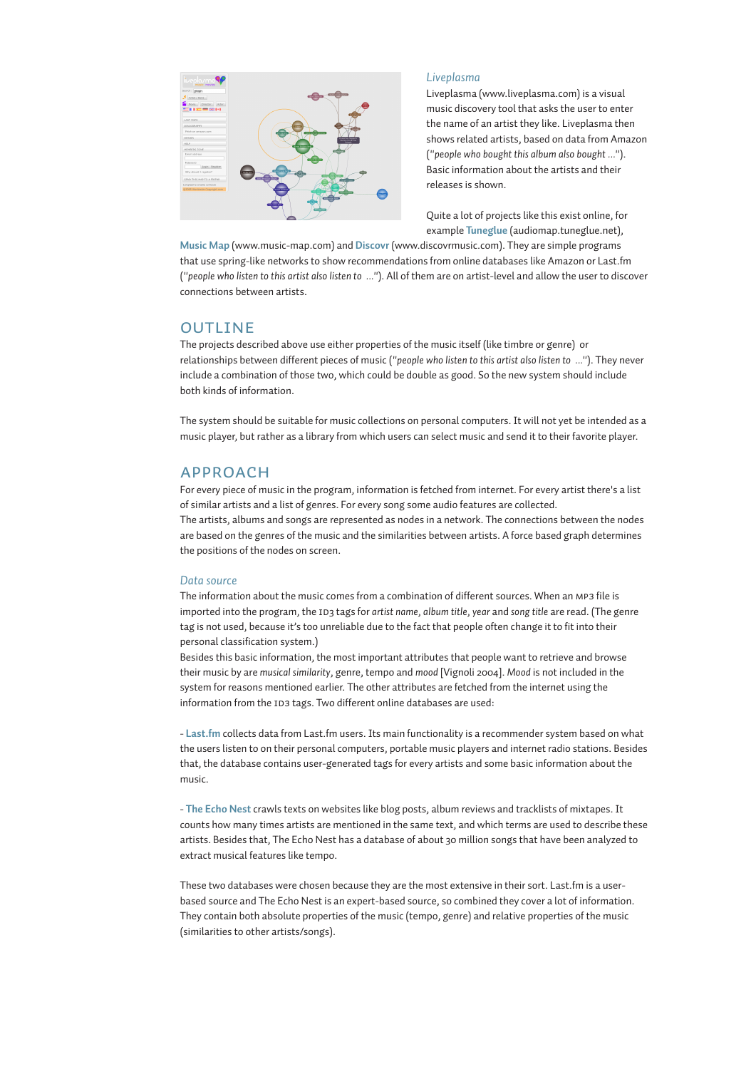

## *Liveplasma*

Liveplasma (www.liveplasma.com) is a visual music discovery tool that asks the user to enter the name of an artist they like. Liveplasma then shows related artists, based on data from Amazon (*"people who bought this album also bought ..."*). Basic information about the artists and their releases is shown.

Quite a lot of projects like this exist online, for example **Tuneglue** (audiomap.tuneglue.net),

**Music Map** (www.music-map.com) and **Discovr** (www.discovrmusic.com). They are simple programs that use spring-like networks to show recommendations from online databases like Amazon or Last.fm (*"people who listen to this artist also listen to ..."*). All of them are on artist-level and allow the user to discover connections between artists.

# **OUTLINE**

The projects described above use either properties of the music itself (like timbre or genre) or relationships between different pieces of music (*"people who listen to this artist also listen to ..."*). They never include a combination of those two, which could be double as good. So the new system should include both kinds of information.

The system should be suitable for music collections on personal computers. It will not yet be intended as a music player, but rather as a library from which users can select music and send it to their favorite player.

# APPROACH

For every piece of music in the program, information is fetched from internet. For every artist there's a list of similar artists and a list of genres. For every song some audio features are collected. The artists, albums and songs are represented as nodes in a network. The connections between the nodes are based on the genres of the music and the similarities between artists. A force based graph determines the positions of the nodes on screen.

### *Data source*

The information about the music comes from a combination of different sources. When an mp3 file is imported into the program, the 1D3 tags for *artist name*, *album title*, *year* and *song title* are read. (The genre tag is not used, because it's too unreliable due to the fact that people often change it to fit into their personal classification system.)

Besides this basic information, the most important attributes that people want to retrieve and browse their music by are *musical similarity*, genre, tempo and *mood* [Vignoli 2004]. *Mood* is not included in the system for reasons mentioned earlier. The other attributes are fetched from the internet using the information from the ID3 tags. Two different online databases are used:

- **Last.fm** collects data from Last.fm users. Its main functionality is a recommender system based on what the users listen to on their personal computers, portable music players and internet radio stations. Besides that, the database contains user-generated tags for every artists and some basic information about the music.

- **The Echo Nest** crawls texts on websites like blog posts, album reviews and tracklists of mixtapes. It counts how many times artists are mentioned in the same text, and which terms are used to describe these artists. Besides that, The Echo Nest has a database of about 30 million songs that have been analyzed to extract musical features like tempo.

These two databases were chosen because they are the most extensive in their sort. Last.fm is a userbased source and The Echo Nest is an expert-based source, so combined they cover a lot of information. They contain both absolute properties of the music (tempo, genre) and relative properties of the music (similarities to other artists/songs).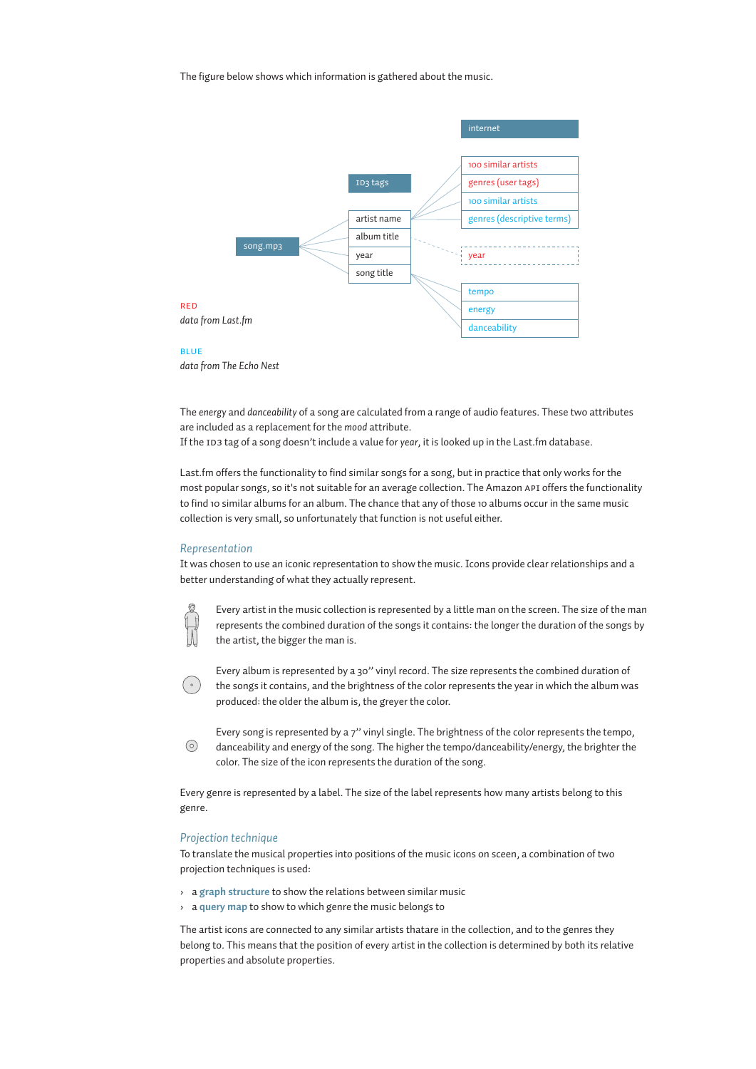The figure below shows which information is gathered about the music.





*data from The Echo Nest*

The *energy* and *danceability* of a song are calculated from a range of audio features. These two attributes are included as a replacement for the *mood* attribute.

If the ID3 tag of a song doesn't include a value for *year*, it is looked up in the Last.fm database.

Last.fm offers the functionality to find similar songs for a song, but in practice that only works for the most popular songs, so it's not suitable for an average collection. The Amazon api offers the functionality to find 10 similar albums for an album. The chance that any of those 10 albums occur in the same music collection is very small, so unfortunately that function is not useful either.

### *Representation*

It was chosen to use an iconic representation to show the music. Icons provide clear relationships and a better understanding of what they actually represent.



Every artist in the music collection is represented by a little man on the screen. The size of the man represents the combined duration of the songs it contains: the longer the duration of the songs by the artist, the bigger the man is.

Every album is represented by a 30'' vinyl record. The size represents the combined duration of the songs it contains, and the brightness of the color represents the year in which the album was produced: the older the album is, the greyer the color.

Every song is represented by a 7'' vinyl single. The brightness of the color represents the tempo,  $\odot$ danceability and energy of the song. The higher the tempo/danceability/energy, the brighter the color. The size of the icon represents the duration of the song.

Every genre is represented by a label. The size of the label represents how many artists belong to this genre.

### *Projection technique*

To translate the musical properties into positions of the music icons on sceen, a combination of two projection techniques is used:

- › a **graph structure** to show the relations between similar music
- › a **query map** to show to which genre the music belongs to

The artist icons are connected to any similar artists thatare in the collection, and to the genres they belong to. This means that the position of every artist in the collection is determined by both its relative properties and absolute properties.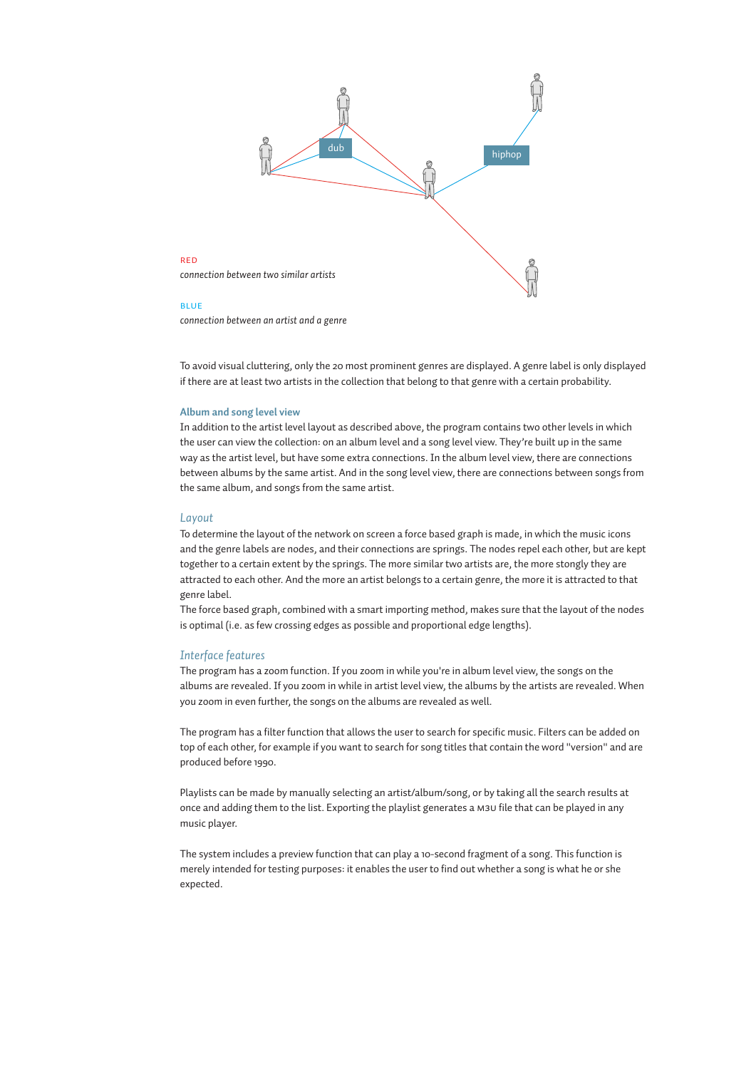

#### blue

red

*connection between an artist and a genre*

To avoid visual cluttering, only the 20 most prominent genres are displayed. A genre label is only displayed if there are at least two artists in the collection that belong to that genre with a certain probability.

### **Album and song level view**

In addition to the artist level layout as described above, the program contains two other levels in which the user can view the collection: on an album level and a song level view. They're built up in the same way as the artist level, but have some extra connections. In the album level view, there are connections between albums by the same artist. And in the song level view, there are connections between songs from the same album, and songs from the same artist.

### *Layout*

To determine the layout of the network on screen a force based graph is made, in which the music icons and the genre labels are nodes, and their connections are springs. The nodes repel each other, but are kept together to a certain extent by the springs. The more similar two artists are, the more stongly they are attracted to each other. And the more an artist belongs to a certain genre, the more it is attracted to that genre label.

The force based graph, combined with a smart importing method, makes sure that the layout of the nodes is optimal (i.e. as few crossing edges as possible and proportional edge lengths).

### *Interface features*

The program has a zoom function. If you zoom in while you're in album level view, the songs on the albums are revealed. If you zoom in while in artist level view, the albums by the artists are revealed. When you zoom in even further, the songs on the albums are revealed as well.

The program has a filter function that allows the user to search for specific music. Filters can be added on top of each other, for example if you want to search for song titles that contain the word "version" and are produced before 1990.

Playlists can be made by manually selecting an artist/album/song, or by taking all the search results at once and adding them to the list. Exporting the playlist generates a m3u file that can be played in any music player.

The system includes a preview function that can play a 10-second fragment of a song. This function is merely intended for testing purposes: it enables the user to find out whether a song is what he or she expected.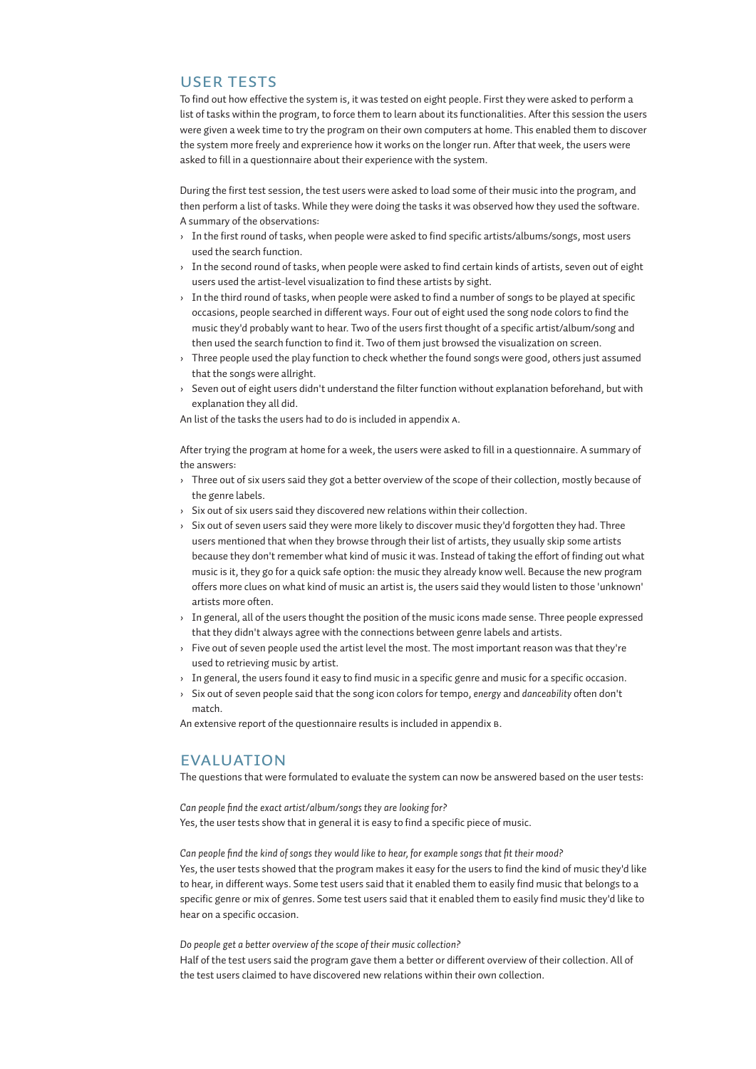# USER TESTS

To find out how effective the system is, it was tested on eight people. First they were asked to perform a list of tasks within the program, to force them to learn about its functionalities. After this session the users were given a week time to try the program on their own computers at home. This enabled them to discover the system more freely and exprerience how it works on the longer run. After that week, the users were asked to fill in a questionnaire about their experience with the system.

During the first test session, the test users were asked to load some of their music into the program, and then perform a list of tasks. While they were doing the tasks it was observed how they used the software. A summary of the observations:

- › In the first round of tasks, when people were asked to find specific artists/albums/songs, most users used the search function.
- $\rightarrow$  In the second round of tasks, when people were asked to find certain kinds of artists, seven out of eight users used the artist-level visualization to find these artists by sight.
- $\rightarrow$  In the third round of tasks, when people were asked to find a number of songs to be played at specific occasions, people searched in different ways. Four out of eight used the song node colors to find the music they'd probably want to hear. Two of the users first thought of a specific artist/album/song and then used the search function to find it. Two of them just browsed the visualization on screen.
- › Three people used the play function to check whether the found songs were good, others just assumed that the songs were allright.
- › Seven out of eight users didn't understand the filter function without explanation beforehand, but with explanation they all did.

An list of the tasks the users had to do is included in appendix a.

After trying the program at home for a week, the users were asked to fill in a questionnaire. A summary of the answers:

- › Three out of six users said they got a better overview of the scope of their collection, mostly because of the genre labels.
- $\rightarrow$  Six out of six users said they discovered new relations within their collection.
- $\rightarrow$  Six out of seven users said they were more likely to discover music they'd forgotten they had. Three users mentioned that when they browse through their list of artists, they usually skip some artists because they don't remember what kind of music it was. Instead of taking the effort of finding out what music is it, they go for a quick safe option: the music they already know well. Because the new program offers more clues on what kind of music an artist is, the users said they would listen to those 'unknown' artists more often.
- $\rightarrow$  In general, all of the users thought the position of the music icons made sense. Three people expressed that they didn't always agree with the connections between genre labels and artists.
- $\rightarrow$  Five out of seven people used the artist level the most. The most important reason was that they're used to retrieving music by artist.
- › In general, the users found it easy to find music in a specific genre and music for a specific occasion.
- › Six out of seven people said that the song icon colors for tempo, *energy* and *danceability* often don't match.

An extensive report of the questionnaire results is included in appendix b.

# EVALUATION

The questions that were formulated to evaluate the system can now be answered based on the user tests:

*Can people find the exact artist/album/songs they are looking for?* Yes, the user tests show that in general it is easy to find a specific piece of music.

*Can people find the kind of songs they would like to hear, for example songs that fit their mood?* Yes, the user tests showed that the program makes it easy for the users to find the kind of music they'd like to hear, in different ways. Some test users said that it enabled them to easily find music that belongs to a specific genre or mix of genres. Some test users said that it enabled them to easily find music they'd like to hear on a specific occasion.

*Do people get a better overview of the scope of their music collection?*

Half of the test users said the program gave them a better or different overview of their collection. All of the test users claimed to have discovered new relations within their own collection.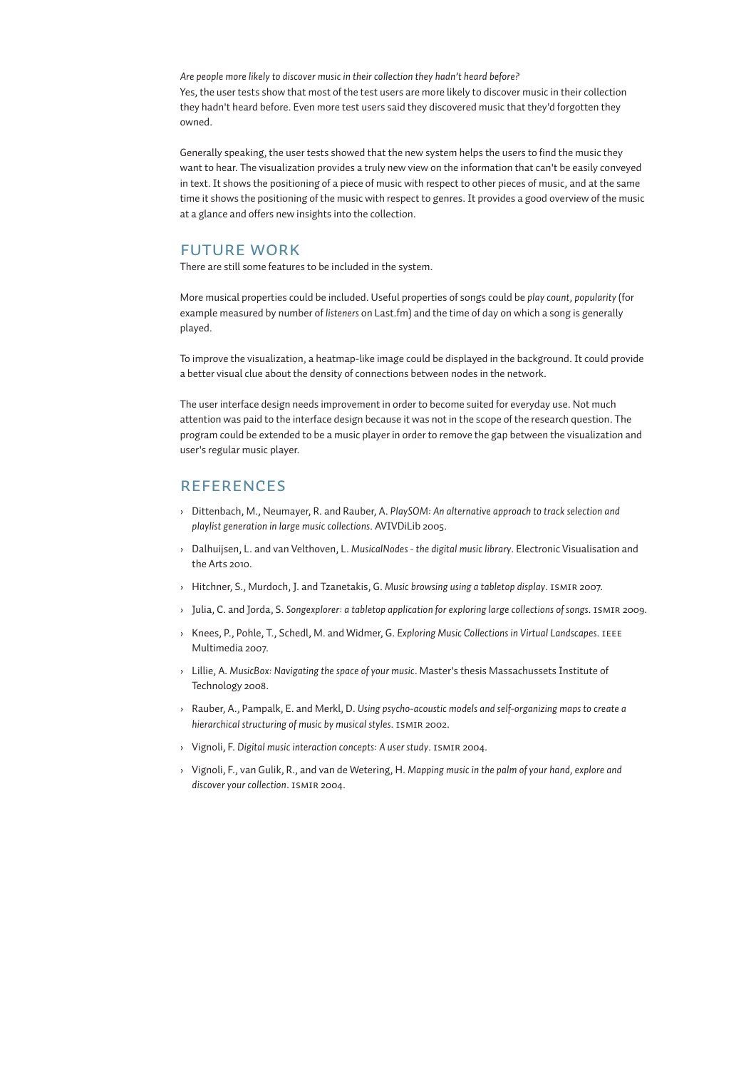*Are people more likely to discover music in their collection they hadn't heard before?* Yes, the user tests show that most of the test users are more likely to discover music in their collection they hadn't heard before. Even more test users said they discovered music that they'd forgotten they owned.

Generally speaking, the user tests showed that the new system helps the users to find the music they want to hear. The visualization provides a truly new view on the information that can't be easily conveyed in text. It shows the positioning of a piece of music with respect to other pieces of music, and at the same time it shows the positioning of the music with respect to genres. It provides a good overview of the music at a glance and offers new insights into the collection.

# FUTURE WORK

There are still some features to be included in the system.

More musical properties could be included. Useful properties of songs could be *play count*, *popularity* (for example measured by number of *listeners* on Last.fm) and the time of day on which a song is generally played.

To improve the visualization, a heatmap-like image could be displayed in the background. It could provide a better visual clue about the density of connections between nodes in the network.

The user interface design needs improvement in order to become suited for everyday use. Not much attention was paid to the interface design because it was not in the scope of the research question. The program could be extended to be a music player in order to remove the gap between the visualization and user's regular music player.

# REFERENCES

- › Dittenbach, M., Neumayer, R. and Rauber, A. *PlaySOM: An alternative approach to track selection and playlist generation in large music collections*. AVIVDiLib 2005.
- › Dalhuijsen, L. and van Velthoven, L. *MusicalNodes the digital music library*. Electronic Visualisation and the Arts 2010.
- › Hitchner, S., Murdoch, J. and Tzanetakis, G. *Music browsing using a tabletop display*. ismir 2007.
- › Julia, C. and Jorda, S. *Songexplorer: a tabletop application for exploring large collections of songs*. ismir 2009.
- › Knees, P., Pohle, T., Schedl, M. and Widmer, G. *Exploring Music Collections in Virtual Landscapes*. ieee Multimedia 2007.
- › Lillie, A. *MusicBox: Navigating the space of your music*. Master's thesis Massachussets Institute of Technology 2008.
- › Rauber, A., Pampalk, E. and Merkl, D. *Using psycho-acoustic models and self-organizing maps to create a hierarchical structuring of music by musical styles*. ismir 2002.
- › Vignoli, F. *Digital music interaction concepts: A user study*. ismir 2004.
- › Vignoli, F., van Gulik, R., and van de Wetering, H. *Mapping music in the palm of your hand, explore and discover your collection*. ismir 2004.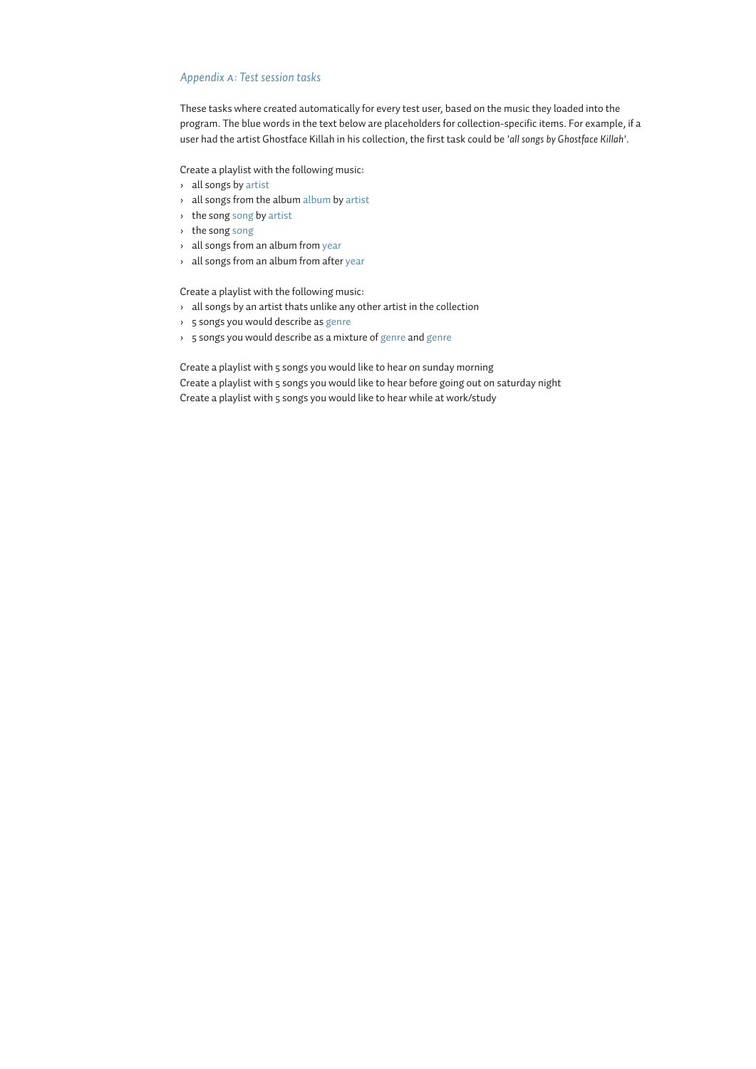# *Appendix a: Test session tasks*

These tasks where created automatically for every test user, based on the music they loaded into the program. The blue words in the text below are placeholders for collection-specific items. For example, if a user had the artist Ghostface Killah in his collection, the first task could be *'all songs by Ghostface Killah'*.

Create a playlist with the following music:

- › all songs by artist
- › all songs from the album album by artist
- › the song song by artist
- › the song song
- › all songs from an album from year
- › all songs from an album from after year

Create a playlist with the following music:

- $\rightarrow$  all songs by an artist thats unlike any other artist in the collection
- › 5 songs you would describe as genre
- › 5 songs you would describe as a mixture of genre and genre

Create a playlist with 5 songs you would like to hear on sunday morning Create a playlist with 5 songs you would like to hear before going out on saturday night Create a playlist with 5 songs you would like to hear while at work/study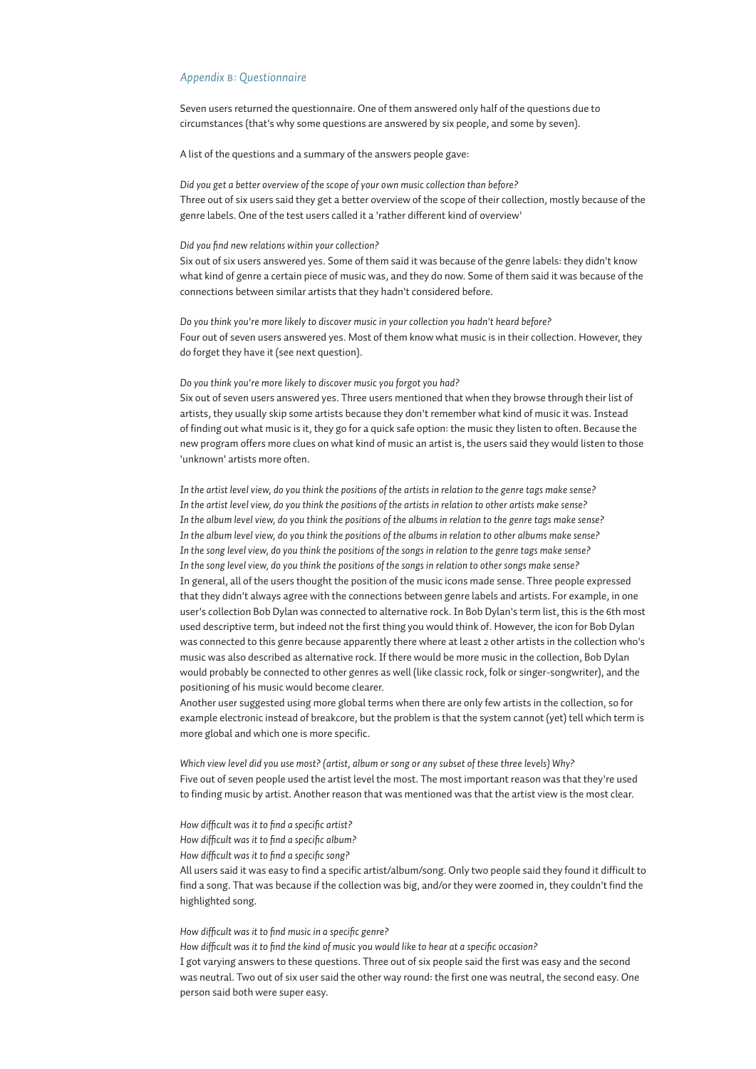### *Appendix b: Questionnaire*

Seven users returned the questionnaire. One of them answered only half of the questions due to circumstances (that's why some questions are answered by six people, and some by seven).

A list of the questions and a summary of the answers people gave:

*Did you get a better overview of the scope of your own music collection than before?* Three out of six users said they get a better overview of the scope of their collection, mostly because of the genre labels. One of the test users called it a 'rather different kind of overview'

### *Did you find new relations within your collection?*

Six out of six users answered yes. Some of them said it was because of the genre labels: they didn't know what kind of genre a certain piece of music was, and they do now. Some of them said it was because of the connections between similar artists that they hadn't considered before.

*Do you think you're more likely to discover music in your collection you hadn't heard before?* Four out of seven users answered yes. Most of them know what music is in their collection. However, they do forget they have it (see next question).

### *Do you think you're more likely to discover music you forgot you had?*

Six out of seven users answered yes. Three users mentioned that when they browse through their list of artists, they usually skip some artists because they don't remember what kind of music it was. Instead of finding out what music is it, they go for a quick safe option: the music they listen to often. Because the new program offers more clues on what kind of music an artist is, the users said they would listen to those 'unknown' artists more often.

*In the artist level view, do you think the positions of the artists in relation to the genre tags make sense? In the artist level view, do you think the positions of the artists in relation to other artists make sense? In the album level view, do you think the positions of the albums in relation to the genre tags make sense? In the album level view, do you think the positions of the albums in relation to other albums make sense? In the song level view, do you think the positions of the songs in relation to the genre tags make sense? In the song level view, do you think the positions of the songs in relation to other songs make sense?* In general, all of the users thought the position of the music icons made sense. Three people expressed that they didn't always agree with the connections between genre labels and artists. For example, in one user's collection Bob Dylan was connected to alternative rock. In Bob Dylan's term list, this is the 6th most used descriptive term, but indeed not the first thing you would think of. However, the icon for Bob Dylan was connected to this genre because apparently there where at least 2 other artists in the collection who's music was also described as alternative rock. If there would be more music in the collection, Bob Dylan would probably be connected to other genres as well (like classic rock, folk or singer-songwriter), and the positioning of his music would become clearer.

Another user suggested using more global terms when there are only few artists in the collection, so for example electronic instead of breakcore, but the problem is that the system cannot (yet) tell which term is more global and which one is more specific.

*Which view level did you use most? (artist, album or song or any subset of these three levels) Why?* Five out of seven people used the artist level the most. The most important reason was that they're used to finding music by artist. Another reason that was mentioned was that the artist view is the most clear.

*How difficult was it to find a specific artist?*

*How difficult was it to find a specific album?*

*How difficult was it to find a specific song?*

All users said it was easy to find a specific artist/album/song. Only two people said they found it difficult to find a song. That was because if the collection was big, and/or they were zoomed in, they couldn't find the highlighted song.

### *How difficult was it to find music in a specific genre?*

*How difficult was it to find the kind of music you would like to hear at a specific occasion?* I got varying answers to these questions. Three out of six people said the first was easy and the second was neutral. Two out of six user said the other way round: the first one was neutral, the second easy. One person said both were super easy.